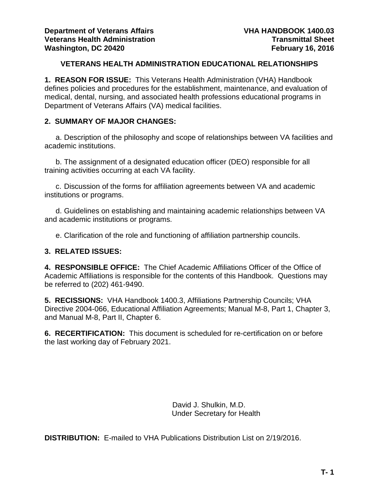### **VETERANS HEALTH ADMINISTRATION EDUCATIONAL RELATIONSHIPS**

<span id="page-0-0"></span>**1. REASON FOR ISSUE:** This Veterans Health Administration (VHA) Handbook defines policies and procedures for the establishment, maintenance, and evaluation of medical, dental, nursing, and associated health professions educational programs in Department of Veterans Affairs (VA) medical facilities.

### **2. SUMMARY OF MAJOR CHANGES:**

a. Description of the philosophy and scope of relationships between VA facilities and academic institutions.

b. The assignment of a designated education officer (DEO) responsible for all training activities occurring at each VA facility.

c. Discussion of the forms for affiliation agreements between VA and academic institutions or programs.

d. Guidelines on establishing and maintaining academic relationships between VA and academic institutions or programs.

e. Clarification of the role and functioning of affiliation partnership councils.

### **3. RELATED ISSUES:**

**4. RESPONSIBLE OFFICE:** The Chief Academic Affiliations Officer of the Office of Academic Affiliations is responsible for the contents of this Handbook. Questions may be referred to (202) 461-9490.

**5. RECISSIONS:** VHA Handbook 1400.3, Affiliations Partnership Councils; VHA Directive 2004-066, Educational Affiliation Agreements; Manual M-8, Part 1, Chapter 3, and Manual M-8, Part II, Chapter 6.

**6. RECERTIFICATION:** This document is scheduled for re-certification on or before the last working day of February 2021.

> David J. Shulkin, M.D. Under Secretary for Health

**DISTRIBUTION:** E-mailed to VHA Publications Distribution List on 2/19/2016.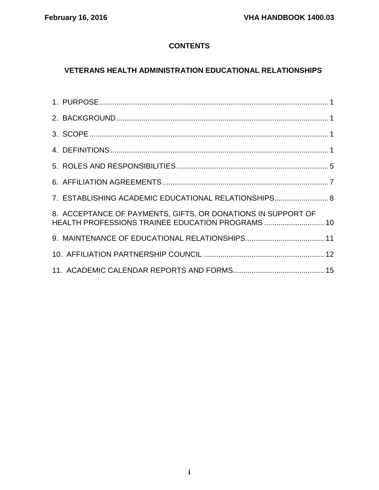# **CONTENTS**

# **[VETERANS HEALTH ADMINISTRATION EDUCATIONAL RELATIONSHIPS](#page-0-0)**

| 7. ESTABLISHING ACADEMIC EDUCATIONAL RELATIONSHIPS 8                                                             |  |
|------------------------------------------------------------------------------------------------------------------|--|
| 8. ACCEPTANCE OF PAYMENTS, GIFTS, OR DONATIONS IN SUPPORT OF<br>HEALTH PROFESSIONS TRAINEE EDUCATION PROGRAMS 10 |  |
|                                                                                                                  |  |
|                                                                                                                  |  |
|                                                                                                                  |  |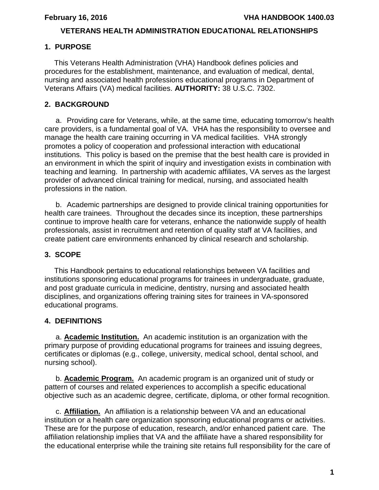## **VETERANS HEALTH ADMINISTRATION EDUCATIONAL RELATIONSHIPS**

## <span id="page-2-0"></span>**1. PURPOSE**

 This Veterans Health Administration (VHA) Handbook defines policies and procedures for the establishment, maintenance, and evaluation of medical, dental, nursing and associated health professions educational programs in Department of Veterans Affairs (VA) medical facilities. **AUTHORITY:** 38 U.S.C. 7302.

## <span id="page-2-1"></span>**2. BACKGROUND**

a. Providing care for Veterans, while, at the same time, educating tomorrow's health care providers, is a fundamental goal of VA. VHA has the responsibility to oversee and manage the health care training occurring in VA medical facilities. VHA strongly promotes a policy of cooperation and professional interaction with educational institutions. This policy is based on the premise that the best health care is provided in an environment in which the spirit of inquiry and investigation exists in combination with teaching and learning. In partnership with academic affiliates, VA serves as the largest provider of advanced clinical training for medical, nursing, and associated health professions in the nation.

b. Academic partnerships are designed to provide clinical training opportunities for health care trainees. Throughout the decades since its inception, these partnerships continue to improve health care for veterans, enhance the nationwide supply of health professionals, assist in recruitment and retention of quality staff at VA facilities, and create patient care environments enhanced by clinical research and scholarship.

## <span id="page-2-2"></span>**3. SCOPE**

This Handbook pertains to educational relationships between VA facilities and institutions sponsoring educational programs for trainees in undergraduate, graduate, and post graduate curricula in medicine, dentistry, nursing and associated health disciplines, and organizations offering training sites for trainees in VA-sponsored educational programs.

## <span id="page-2-3"></span>**4. DEFINITIONS**

a. **Academic Institution.** An academic institution is an organization with the primary purpose of providing educational programs for trainees and issuing degrees, certificates or diplomas (e.g., college, university, medical school, dental school, and nursing school).

b. **Academic Program.** An academic program is an organized unit of study or pattern of courses and related experiences to accomplish a specific educational objective such as an academic degree, certificate, diploma, or other formal recognition.

c. **Affiliation.** An affiliation is a relationship between VA and an educational institution or a health care organization sponsoring educational programs or activities. These are for the purpose of education, research, and/or enhanced patient care. The affiliation relationship implies that VA and the affiliate have a shared responsibility for the educational enterprise while the training site retains full responsibility for the care of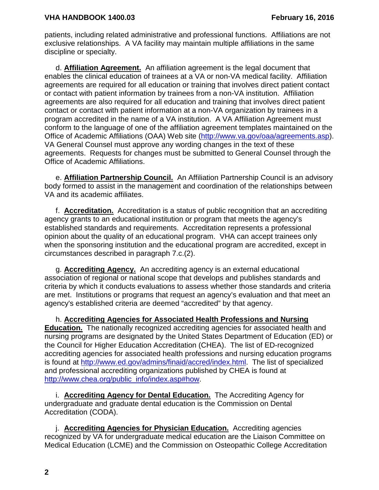patients, including related administrative and professional functions. Affiliations are not exclusive relationships. A VA facility may maintain multiple affiliations in the same discipline or specialty.

d. **Affiliation Agreement.** An affiliation agreement is the legal document that enables the clinical education of trainees at a VA or non-VA medical facility. Affiliation agreements are required for all education or training that involves direct patient contact or contact with patient information by trainees from a non-VA institution. Affiliation agreements are also required for all education and training that involves direct patient contact or contact with patient information at a non-VA organization by trainees in a program accredited in the name of a VA institution. A VA Affiliation Agreement must conform to the language of one of the affiliation agreement templates maintained on the Office of Academic Affiliations (OAA) Web site [\(http://www.va.gov/oaa/agreements.asp\)](http://www.va.gov/oaa/agreements.asp). VA General Counsel must approve any wording changes in the text of these agreements. Requests for changes must be submitted to General Counsel through the Office of Academic Affiliations.

e. **Affiliation Partnership Council.** An Affiliation Partnership Council is an advisory body formed to assist in the management and coordination of the relationships between VA and its academic affiliates.

f. **Accreditation.** Accreditation is a status of public recognition that an accrediting agency grants to an educational institution or program that meets the agency's established standards and requirements. Accreditation represents a professional opinion about the quality of an educational program. VHA can accept trainees only when the sponsoring institution and the educational program are accredited, except in circumstances described in paragraph 7.c.(2).

g. **Accrediting Agency.** An accrediting agency is an external educational association of regional or national scope that develops and publishes standards and criteria by which it conducts evaluations to assess whether those standards and criteria are met. Institutions or programs that request an agency's evaluation and that meet an agency's established criteria are deemed "accredited" by that agency.

h. **Accrediting Agencies for Associated Health Professions and Nursing Education.** The nationally recognized accrediting agencies for associated health and nursing programs are designated by the United States Department of Education (ED) or the Council for Higher Education Accreditation (CHEA). The list of ED-recognized accrediting agencies for associated health professions and nursing education programs is found at [http://www.ed.gov/admins/finaid/accred/index.html.](http://www.ed.gov/admins/finaid/accred/index.html) The list of specialized and professional accrediting organizations published by CHEA is found at [http://www.chea.org/public\\_info/index.asp#how.](http://www.chea.org/public_info/index.asp#how)

i. **Accrediting Agency for Dental Education.** The Accrediting Agency for undergraduate and graduate dental education is the Commission on Dental Accreditation (CODA).

j. **Accrediting Agencies for Physician Education.** Accrediting agencies recognized by VA for undergraduate medical education are the Liaison Committee on Medical Education (LCME) and the Commission on Osteopathic College Accreditation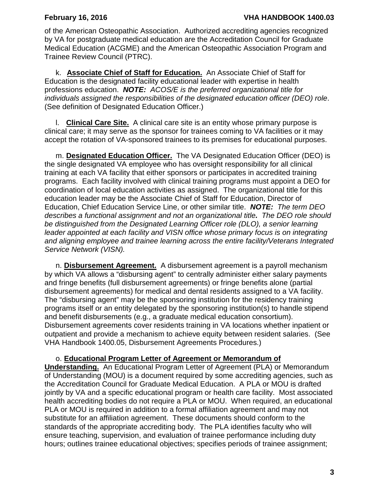of the American Osteopathic Association. Authorized accrediting agencies recognized by VA for postgraduate medical education are the Accreditation Council for Graduate Medical Education (ACGME) and the American Osteopathic Association Program and Trainee Review Council (PTRC).

k. **Associate Chief of Staff for Education.** An Associate Chief of Staff for Education is the designated facility educational leader with expertise in health professions education. *NOTE: ACOS/E is the preferred organizational title for individuals assigned the responsibilities of the designated education officer (DEO) role*. (See definition of Designated Education Officer.)

l. **Clinical Care Site.** A clinical care site is an entity whose primary purpose is clinical care; it may serve as the sponsor for trainees coming to VA facilities or it may accept the rotation of VA-sponsored trainees to its premises for educational purposes.

m. **Designated Education Officer.** The VA Designated Education Officer (DEO) is the single designated VA employee who has oversight responsibility for all clinical training at each VA facility that either sponsors or participates in accredited training programs. Each facility involved with clinical training programs must appoint a DEO for coordination of local education activities as assigned. The organizational title for this education leader may be the Associate Chief of Staff for Education, Director of Education, Chief Education Service Line, or other similar title. *NOTE: The term DEO describes a functional assignment and not an organizational title. The DEO role should be distinguished from the Designated Learning Officer role (DLO), a senior learning leader appointed at each facility and VISN office whose primary focus is on integrating and aligning employee and trainee learning across the entire facility/Veterans Integrated Service Network (VISN).* 

n. **Disbursement Agreement.** A disbursement agreement is a payroll mechanism by which VA allows a "disbursing agent" to centrally administer either salary payments and fringe benefits (full disbursement agreements) or fringe benefits alone (partial disbursement agreements) for medical and dental residents assigned to a VA facility. The "disbursing agent" may be the sponsoring institution for the residency training programs itself or an entity delegated by the sponsoring institution(s) to handle stipend and benefit disbursements (e.g., a graduate medical education consortium). Disbursement agreements cover residents training in VA locations whether inpatient or outpatient and provide a mechanism to achieve equity between resident salaries. (See VHA Handbook 1400.05, Disbursement Agreements Procedures.)

o. **Educational Program Letter of Agreement or Memorandum of Understanding.** An Educational Program Letter of Agreement (PLA) or Memorandum of Understanding (MOU) is a document required by some accrediting agencies, such as the Accreditation Council for Graduate Medical Education. A PLA or MOU is drafted jointly by VA and a specific educational program or health care facility. Most associated health accrediting bodies do not require a PLA or MOU. When required, an educational PLA or MOU is required in addition to a formal affiliation agreement and may not substitute for an affiliation agreement. These documents should conform to the standards of the appropriate accrediting body. The PLA identifies faculty who will ensure teaching, supervision, and evaluation of trainee performance including duty hours; outlines trainee educational objectives; specifies periods of trainee assignment;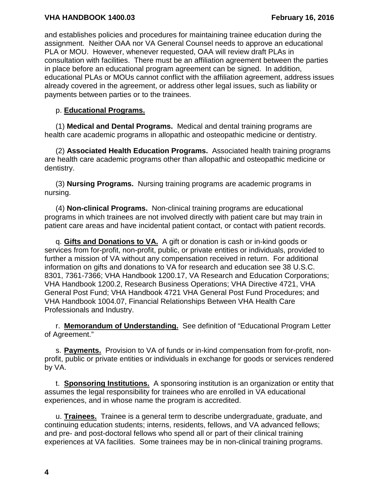### **VHA HANDBOOK 1400.03 February 16, 2016**

and establishes policies and procedures for maintaining trainee education during the assignment. Neither OAA nor VA General Counsel needs to approve an educational PLA or MOU. However, whenever requested, OAA will review draft PLAs in consultation with facilities. There must be an affiliation agreement between the parties in place before an educational program agreement can be signed. In addition, educational PLAs or MOUs cannot conflict with the affiliation agreement, address issues already covered in the agreement, or address other legal issues, such as liability or payments between parties or to the trainees.

### p. **Educational Programs.**

(1) **Medical and Dental Programs.** Medical and dental training programs are health care academic programs in allopathic and osteopathic medicine or dentistry.

(2) **Associated Health Education Programs.** Associated health training programs are health care academic programs other than allopathic and osteopathic medicine or dentistry.

(3) **Nursing Programs.** Nursing training programs are academic programs in nursing.

(4) **Non-clinical Programs.** Non-clinical training programs are educational programs in which trainees are not involved directly with patient care but may train in patient care areas and have incidental patient contact, or contact with patient records.

q. **Gifts and Donations to VA.** A gift or donation is cash or in-kind goods or services from for-profit, non-profit, public, or private entities or individuals, provided to further a mission of VA without any compensation received in return. For additional information on gifts and donations to VA for research and education see 38 U.S.C. 8301, 7361-7366; VHA Handbook 1200.17, VA Research and Education Corporations; VHA Handbook 1200.2, Research Business Operations; VHA Directive 4721, VHA General Post Fund; VHA Handbook 4721 VHA General Post Fund Procedures; and VHA Handbook 1004.07, Financial Relationships Between VHA Health Care Professionals and Industry.

r. **Memorandum of Understanding.** See definition of "Educational Program Letter of Agreement."

s. **Payments.** Provision to VA of funds or in-kind compensation from for-profit, nonprofit, public or private entities or individuals in exchange for goods or services rendered by VA.

t. **Sponsoring Institutions.** A sponsoring institution is an organization or entity that assumes the legal responsibility for trainees who are enrolled in VA educational experiences, and in whose name the program is accredited.

u. **Trainees.** Trainee is a general term to describe undergraduate, graduate, and continuing education students; interns, residents, fellows, and VA advanced fellows; and pre- and post-doctoral fellows who spend all or part of their clinical training experiences at VA facilities. Some trainees may be in non-clinical training programs.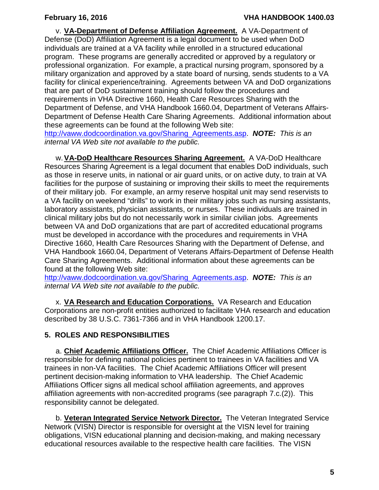v. **VA-Department of Defense Affiliation Agreement.** A VA-Department of Defense (DoD) Affiliation Agreement is a legal document to be used when DoD individuals are trained at a VA facility while enrolled in a structured educational program. These programs are generally accredited or approved by a regulatory or professional organization. For example, a practical nursing program, sponsored by a military organization and approved by a state board of nursing, sends students to a VA facility for clinical experience/training. Agreements between VA and DoD organizations that are part of DoD sustainment training should follow the procedures and requirements in VHA Directive 1660, Health Care Resources Sharing with the Department of Defense, and VHA Handbook 1660.04, Department of Veterans Affairs-Department of Defense Health Care Sharing Agreements. Additional information about these agreements can be found at the following Web site:

[http://vaww.dodcoordination.va.gov/Sharing\\_Agreements.asp.](http://vaww.dodcoordination.va.gov/Sharing_Agreements.asp) *NOTE: This is an internal VA Web site not available to the public.*

w.**VA-DoD Healthcare Resources Sharing Agreement.** A VA-DoD Healthcare Resources Sharing Agreement is a legal document that enables DoD individuals, such as those in reserve units, in national or air guard units, or on active duty, to train at VA facilities for the purpose of sustaining or improving their skills to meet the requirements of their military job. For example, an army reserve hospital unit may send reservists to a VA facility on weekend "drills" to work in their military jobs such as nursing assistants, laboratory assistants, physician assistants, or nurses. These individuals are trained in clinical military jobs but do not necessarily work in similar civilian jobs. Agreements between VA and DoD organizations that are part of accredited educational programs must be developed in accordance with the procedures and requirements in VHA Directive 1660, Health Care Resources Sharing with the Department of Defense, and VHA Handbook 1660.04, Department of Veterans Affairs-Department of Defense Health Care Sharing Agreements. Additional information about these agreements can be found at the following Web site:

[http://vaww.dodcoordination.va.gov/Sharing\\_Agreements.asp.](http://vaww.dodcoordination.va.gov/Sharing_Agreements.asp) *NOTE: This is an internal VA Web site not available to the public.*

x. **VA Research and Education Corporations.** VA Research and Education Corporations are non-profit entities authorized to facilitate VHA research and education described by 38 U.S.C. 7361-7366 and in VHA Handbook 1200.17.

# <span id="page-6-0"></span>**5. ROLES AND RESPONSIBILITIES**

a. **Chief Academic Affiliations Officer.** The Chief Academic Affiliations Officer is responsible for defining national policies pertinent to trainees in VA facilities and VA trainees in non-VA facilities. The Chief Academic Affiliations Officer will present pertinent decision-making information to VHA leadership. The Chief Academic Affiliations Officer signs all medical school affiliation agreements, and approves affiliation agreements with non-accredited programs (see paragraph 7.c.(2)). This responsibility cannot be delegated.

b. **Veteran Integrated Service Network Director.** The Veteran Integrated Service Network (VISN) Director is responsible for oversight at the VISN level for training obligations, VISN educational planning and decision-making, and making necessary educational resources available to the respective health care facilities. The VISN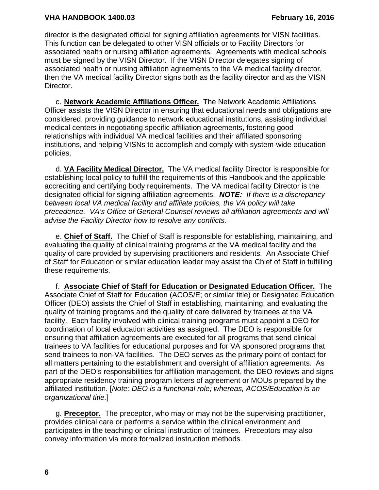director is the designated official for signing affiliation agreements for VISN facilities. This function can be delegated to other VISN officials or to Facility Directors for associated health or nursing affiliation agreements. Agreements with medical schools must be signed by the VISN Director. If the VISN Director delegates signing of associated health or nursing affiliation agreements to the VA medical facility director, then the VA medical facility Director signs both as the facility director and as the VISN Director.

c. **Network Academic Affiliations Officer.** The Network Academic Affiliations Officer assists the VISN Director in ensuring that educational needs and obligations are considered, providing guidance to network educational institutions, assisting individual medical centers in negotiating specific affiliation agreements, fostering good relationships with individual VA medical facilities and their affiliated sponsoring institutions, and helping VISNs to accomplish and comply with system-wide education policies.

d. **VA Facility Medical Director.** The VA medical facility Director is responsible for establishing local policy to fulfill the requirements of this Handbook and the applicable accrediting and certifying body requirements. The VA medical facility Director is the designated official for signing affiliation agreements. *NOTE: If there is a discrepancy between local VA medical facility and affiliate policies, the VA policy will take precedence. VA's Office of General Counsel reviews all affiliation agreements and will advise the Facility Director how to resolve any conflicts.*

e. **Chief of Staff.** The Chief of Staff is responsible for establishing, maintaining, and evaluating the quality of clinical training programs at the VA medical facility and the quality of care provided by supervising practitioners and residents. An Associate Chief of Staff for Education or similar education leader may assist the Chief of Staff in fulfilling these requirements.

f. **Associate Chief of Staff for Education or Designated Education Officer.** The Associate Chief of Staff for Education (ACOS/E; or similar title) or Designated Education Officer (DEO) assists the Chief of Staff in establishing, maintaining, and evaluating the quality of training programs and the quality of care delivered by trainees at the VA facility. Each facility involved with clinical training programs must appoint a DEO for coordination of local education activities as assigned. The DEO is responsible for ensuring that affiliation agreements are executed for all programs that send clinical trainees to VA facilities for educational purposes and for VA sponsored programs that send trainees to non-VA facilities. The DEO serves as the primary point of contact for all matters pertaining to the establishment and oversight of affiliation agreements. As part of the DEO's responsibilities for affiliation management, the DEO reviews and signs appropriate residency training program letters of agreement or MOUs prepared by the affiliated institution. [*Note: DEO is a functional role; whereas, ACOS/Education is an organizational title.*]

g. **Preceptor.** The preceptor, who may or may not be the supervising practitioner, provides clinical care or performs a service within the clinical environment and participates in the teaching or clinical instruction of trainees. Preceptors may also convey information via more formalized instruction methods.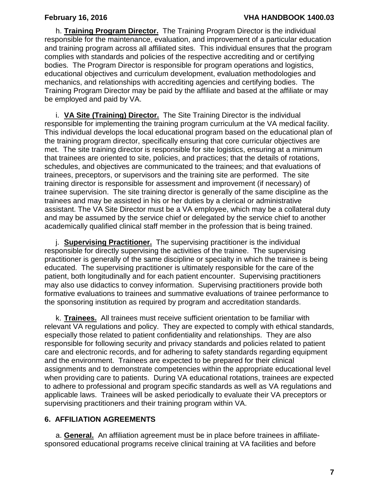h. **Training Program Director.** The Training Program Director is the individual responsible for the maintenance, evaluation, and improvement of a particular education and training program across all affiliated sites. This individual ensures that the program complies with standards and policies of the respective accrediting and or certifying bodies. The Program Director is responsible for program operations and logistics, educational objectives and curriculum development, evaluation methodologies and mechanics, and relationships with accrediting agencies and certifying bodies. The Training Program Director may be paid by the affiliate and based at the affiliate or may be employed and paid by VA.

i. **VA Site (Training) Director.** The Site Training Director is the individual responsible for implementing the training program curriculum at the VA medical facility. This individual develops the local educational program based on the educational plan of the training program director, specifically ensuring that core curricular objectives are met. The site training director is responsible for site logistics, ensuring at a minimum that trainees are oriented to site, policies, and practices; that the details of rotations, schedules, and objectives are communicated to the trainees; and that evaluations of trainees, preceptors, or supervisors and the training site are performed. The site training director is responsible for assessment and improvement (if necessary) of trainee supervision. The site training director is generally of the same discipline as the trainees and may be assisted in his or her duties by a clerical or administrative assistant. The VA Site Director must be a VA employee, which may be a collateral duty and may be assumed by the service chief or delegated by the service chief to another academically qualified clinical staff member in the profession that is being trained.

j. **Supervising Practitioner.** The supervising practitioner is the individual responsible for directly supervising the activities of the trainee. The supervising practitioner is generally of the same discipline or specialty in which the trainee is being educated. The supervising practitioner is ultimately responsible for the care of the patient, both longitudinally and for each patient encounter. Supervising practitioners may also use didactics to convey information. Supervising practitioners provide both formative evaluations to trainees and summative evaluations of trainee performance to the sponsoring institution as required by program and accreditation standards.

k. **Trainees.** All trainees must receive sufficient orientation to be familiar with relevant VA regulations and policy. They are expected to comply with ethical standards, especially those related to patient confidentiality and relationships. They are also responsible for following security and privacy standards and policies related to patient care and electronic records, and for adhering to safety standards regarding equipment and the environment. Trainees are expected to be prepared for their clinical assignments and to demonstrate competencies within the appropriate educational level when providing care to patients. During VA educational rotations, trainees are expected to adhere to professional and program specific standards as well as VA regulations and applicable laws. Trainees will be asked periodically to evaluate their VA preceptors or supervising practitioners and their training program within VA.

### <span id="page-8-0"></span>**6. AFFILIATION AGREEMENTS**

a. **General.** An affiliation agreement must be in place before trainees in affiliatesponsored educational programs receive clinical training at VA facilities and before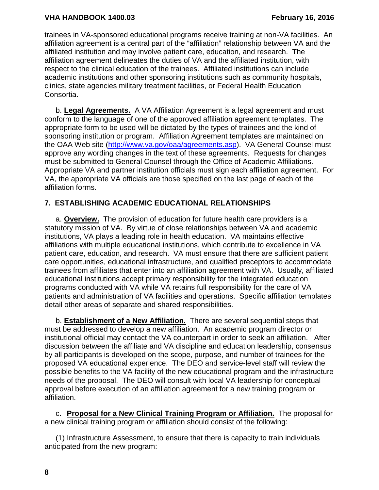trainees in VA-sponsored educational programs receive training at non-VA facilities. An affiliation agreement is a central part of the "affiliation" relationship between VA and the affiliated institution and may involve patient care, education, and research. The affiliation agreement delineates the duties of VA and the affiliated institution, with respect to the clinical education of the trainees. Affiliated institutions can include academic institutions and other sponsoring institutions such as community hospitals, clinics, state agencies military treatment facilities, or Federal Health Education Consortia.

b. **Legal Agreements.** A VA Affiliation Agreement is a legal agreement and must conform to the language of one of the approved affiliation agreement templates. The appropriate form to be used will be dictated by the types of trainees and the kind of sponsoring institution or program. Affiliation Agreement templates are maintained on the OAA Web site [\(http://www.va.gov/oaa/agreements.asp\)](http://www.va.gov/oaa/agreements.asp). VA General Counsel must approve any wording changes in the text of these agreements. Requests for changes must be submitted to General Counsel through the Office of Academic Affiliations. Appropriate VA and partner institution officials must sign each affiliation agreement. For VA, the appropriate VA officials are those specified on the last page of each of the affiliation forms.

## <span id="page-9-0"></span>**7. ESTABLISHING ACADEMIC EDUCATIONAL RELATIONSHIPS**

a. **Overview.** The provision of education for future health care providers is a statutory mission of VA. By virtue of close relationships between VA and academic institutions, VA plays a leading role in health education. VA maintains effective affiliations with multiple educational institutions, which contribute to excellence in VA patient care, education, and research. VA must ensure that there are sufficient patient care opportunities, educational infrastructure, and qualified preceptors to accommodate trainees from affiliates that enter into an affiliation agreement with VA. Usually, affiliated educational institutions accept primary responsibility for the integrated education programs conducted with VA while VA retains full responsibility for the care of VA patients and administration of VA facilities and operations. Specific affiliation templates detail other areas of separate and shared responsibilities.

b. **Establishment of a New Affiliation.** There are several sequential steps that must be addressed to develop a new affiliation. An academic program director or institutional official may contact the VA counterpart in order to seek an affiliation. After discussion between the affiliate and VA discipline and education leadership, consensus by all participants is developed on the scope, purpose, and number of trainees for the proposed VA educational experience. The DEO and service-level staff will review the possible benefits to the VA facility of the new educational program and the infrastructure needs of the proposal. The DEO will consult with local VA leadership for conceptual approval before execution of an affiliation agreement for a new training program or affiliation.

c. **Proposal for a New Clinical Training Program or Affiliation.** The proposal for a new clinical training program or affiliation should consist of the following:

(1) Infrastructure Assessment, to ensure that there is capacity to train individuals anticipated from the new program:

**8**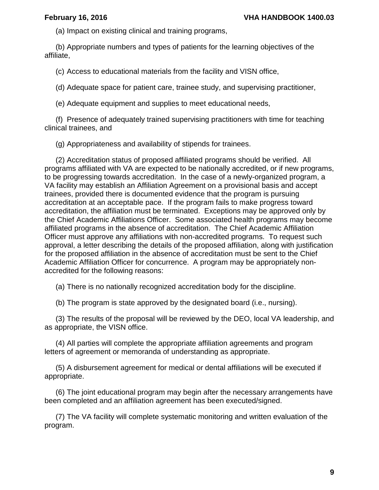(a) Impact on existing clinical and training programs,

(b) Appropriate numbers and types of patients for the learning objectives of the affiliate,

(c) Access to educational materials from the facility and VISN office,

(d) Adequate space for patient care, trainee study, and supervising practitioner,

(e) Adequate equipment and supplies to meet educational needs,

(f) Presence of adequately trained supervising practitioners with time for teaching clinical trainees, and

(g) Appropriateness and availability of stipends for trainees.

(2) Accreditation status of proposed affiliated programs should be verified. All programs affiliated with VA are expected to be nationally accredited, or if new programs, to be progressing towards accreditation. In the case of a newly-organized program, a VA facility may establish an Affiliation Agreement on a provisional basis and accept trainees, provided there is documented evidence that the program is pursuing accreditation at an acceptable pace. If the program fails to make progress toward accreditation, the affiliation must be terminated. Exceptions may be approved only by the Chief Academic Affiliations Officer. Some associated health programs may become affiliated programs in the absence of accreditation. The Chief Academic Affiliation Officer must approve any affiliations with non-accredited programs. To request such approval, a letter describing the details of the proposed affiliation, along with justification for the proposed affiliation in the absence of accreditation must be sent to the Chief Academic Affiliation Officer for concurrence. A program may be appropriately nonaccredited for the following reasons:

(a) There is no nationally recognized accreditation body for the discipline.

(b) The program is state approved by the designated board (i.e., nursing).

(3) The results of the proposal will be reviewed by the DEO, local VA leadership, and as appropriate, the VISN office.

(4) All parties will complete the appropriate affiliation agreements and program letters of agreement or memoranda of understanding as appropriate.

(5) A disbursement agreement for medical or dental affiliations will be executed if appropriate.

(6) The joint educational program may begin after the necessary arrangements have been completed and an affiliation agreement has been executed/signed.

(7) The VA facility will complete systematic monitoring and written evaluation of the program.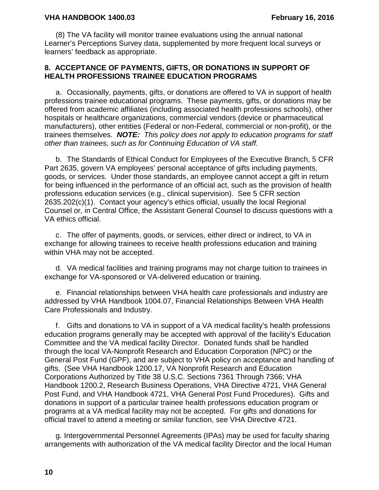#### **VHA HANDBOOK 1400.03 February 16, 2016**

(8) The VA facility will monitor trainee evaluations using the annual national Learner's Perceptions Survey data, supplemented by more frequent local surveys or learners' feedback as appropriate.

#### <span id="page-11-0"></span>**8. ACCEPTANCE OF PAYMENTS, GIFTS, OR DONATIONS IN SUPPORT OF HEALTH PROFESSIONS TRAINEE EDUCATION PROGRAMS**

a. Occasionally, payments, gifts, or donations are offered to VA in support of health professions trainee educational programs. These payments, gifts, or donations may be offered from academic affiliates (including associated health professions schools), other hospitals or healthcare organizations, commercial vendors (device or pharmaceutical manufacturers), other entities (Federal or non-Federal, commercial or non-profit), or the trainees themselves. *NOTE: This policy does not apply to education programs for staff other than trainees, such as for Continuing Education of VA staff.*

b. The Standards of Ethical Conduct for Employees of the Executive Branch, 5 CFR Part 2635, govern VA employees' personal acceptance of gifts including payments, goods, or services. Under those standards, an employee cannot accept a gift in return for being influenced in the performance of an official act, such as the provision of health professions education services (e.g., clinical supervision). See 5 CFR section 2635.202(c)(1). Contact your agency's ethics official, usually the local Regional Counsel or, in Central Office, the Assistant General Counsel to discuss questions with a VA ethics official.

c. The offer of payments, goods, or services, either direct or indirect, to VA in exchange for allowing trainees to receive health professions education and training within VHA may not be accepted.

d. VA medical facilities and training programs may not charge tuition to trainees in exchange for VA-sponsored or VA-delivered education or training.

e. Financial relationships between VHA health care professionals and industry are addressed by VHA Handbook 1004.07, Financial Relationships Between VHA Health Care Professionals and Industry.

f. Gifts and donations to VA in support of a VA medical facility's health professions education programs generally may be accepted with approval of the facility's Education Committee and the VA medical facility Director. Donated funds shall be handled through the local VA-Nonprofit Research and Education Corporation (NPC) or the General Post Fund (GPF), and are subject to VHA policy on acceptance and handling of gifts. (See VHA Handbook 1200.17, VA Nonprofit Research and Education Corporations Authorized by Title 38 U.S.C. Sections 7361 Through 7366; VHA Handbook 1200.2, Research Business Operations, VHA Directive 4721, VHA General Post Fund, and VHA Handbook 4721, VHA General Post Fund Procedures). Gifts and donations in support of a particular trainee health professions education program or programs at a VA medical facility may not be accepted. For gifts and donations for official travel to attend a meeting or similar function, see VHA Directive 4721.

g. Intergovernmental Personnel Agreements (IPAs) may be used for faculty sharing arrangements with authorization of the VA medical facility Director and the local Human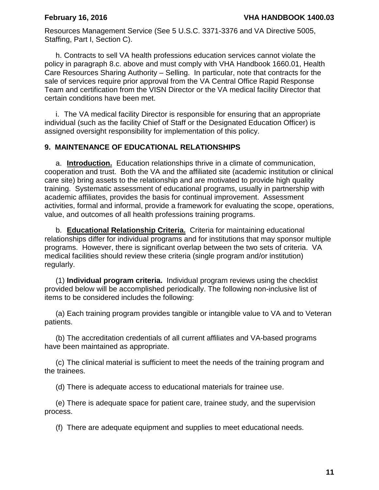Resources Management Service (See 5 U.S.C. 3371-3376 and VA Directive 5005, Staffing, Part I, Section C).

h. Contracts to sell VA health professions education services cannot violate the policy in paragraph 8.c. above and must comply with VHA Handbook 1660.01, Health Care Resources Sharing Authority – Selling. In particular, note that contracts for the sale of services require prior approval from the VA Central Office Rapid Response Team and certification from the VISN Director or the VA medical facility Director that certain conditions have been met.

i. The VA medical facility Director is responsible for ensuring that an appropriate individual (such as the facility Chief of Staff or the Designated Education Officer) is assigned oversight responsibility for implementation of this policy.

#### <span id="page-12-0"></span>**9. MAINTENANCE OF EDUCATIONAL RELATIONSHIPS**

a. **Introduction.** Education relationships thrive in a climate of communication, cooperation and trust. Both the VA and the affiliated site (academic institution or clinical care site) bring assets to the relationship and are motivated to provide high quality training. Systematic assessment of educational programs, usually in partnership with academic affiliates, provides the basis for continual improvement. Assessment activities, formal and informal, provide a framework for evaluating the scope, operations, value, and outcomes of all health professions training programs.

b. **Educational Relationship Criteria.** Criteria for maintaining educational relationships differ for individual programs and for institutions that may sponsor multiple programs. However, there is significant overlap between the two sets of criteria. VA medical facilities should review these criteria (single program and/or institution) regularly.

(1) **Individual program criteria.** Individual program reviews using the checklist provided below will be accomplished periodically. The following non-inclusive list of items to be considered includes the following:

(a) Each training program provides tangible or intangible value to VA and to Veteran patients.

(b) The accreditation credentials of all current affiliates and VA-based programs have been maintained as appropriate.

(c) The clinical material is sufficient to meet the needs of the training program and the trainees.

(d) There is adequate access to educational materials for trainee use.

(e) There is adequate space for patient care, trainee study, and the supervision process.

(f) There are adequate equipment and supplies to meet educational needs.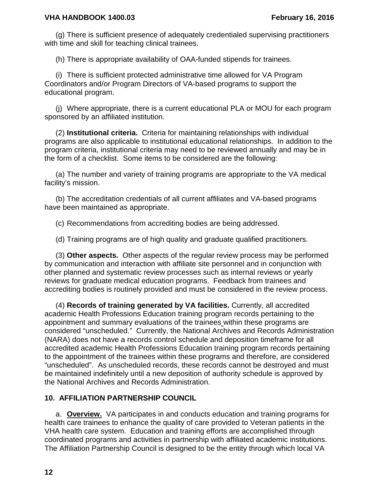(g) There is sufficient presence of adequately credentialed supervising practitioners with time and skill for teaching clinical trainees.

(h) There is appropriate availability of OAA-funded stipends for trainees.

(i) There is sufficient protected administrative time allowed for VA Program Coordinators and/or Program Directors of VA-based programs to support the educational program.

(j) Where appropriate, there is a current educational PLA or MOU for each program sponsored by an affiliated institution.

(2) **Institutional criteria.** Criteria for maintaining relationships with individual programs are also applicable to institutional educational relationships. In addition to the program criteria, institutional criteria may need to be reviewed annually and may be in the form of a checklist. Some items to be considered are the following:

(a) The number and variety of training programs are appropriate to the VA medical facility's mission.

(b) The accreditation credentials of all current affiliates and VA-based programs have been maintained as appropriate.

(c) Recommendations from accrediting bodies are being addressed.

(d) Training programs are of high quality and graduate qualified practitioners.

(3) **Other aspects.** Other aspects of the regular review process may be performed by communication and interaction with affiliate site personnel and in conjunction with other planned and systematic review processes such as internal reviews or yearly reviews for graduate medical education programs. Feedback from trainees and accrediting bodies is routinely provided and must be considered in the review process.

(4) **Records of training generated by VA facilities.** Currently, all accredited academic Health Professions Education training program records pertaining to the appointment and summary evaluations of the trainees within these programs are considered "unscheduled." Currently, the National Archives and Records Administration (NARA) does not have a records control schedule and deposition timeframe for all accredited academic Health Professions Education training program records pertaining to the appointment of the trainees within these programs and therefore, are considered "unscheduled". As unscheduled records, these records cannot be destroyed and must be maintained indefinitely until a new deposition of authority schedule is approved by the National Archives and Records Administration.

### <span id="page-13-0"></span>**10. AFFILIATION PARTNERSHIP COUNCIL**

a. **Overview.** VA participates in and conducts education and training programs for health care trainees to enhance the quality of care provided to Veteran patients in the VHA health care system. Education and training efforts are accomplished through coordinated programs and activities in partnership with affiliated academic institutions. The Affiliation Partnership Council is designed to be the entity through which local VA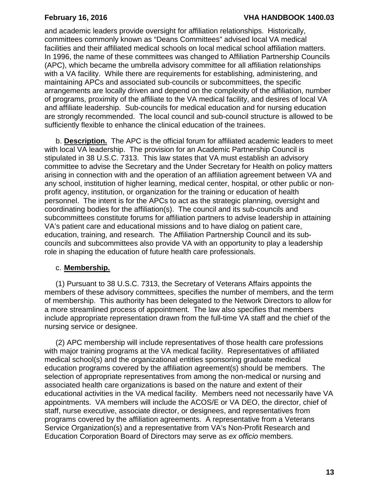and academic leaders provide oversight for affiliation relationships. Historically, committees commonly known as "Deans Committees" advised local VA medical facilities and their affiliated medical schools on local medical school affiliation matters. In 1996, the name of these committees was changed to Affiliation Partnership Councils (APC), which became the umbrella advisory committee for all affiliation relationships with a VA facility. While there are requirements for establishing, administering, and maintaining APCs and associated sub-councils or subcommittees, the specific arrangements are locally driven and depend on the complexity of the affiliation, number of programs, proximity of the affiliate to the VA medical facility, and desires of local VA and affiliate leadership. Sub-councils for medical education and for nursing education are strongly recommended. The local council and sub-council structure is allowed to be sufficiently flexible to enhance the clinical education of the trainees.

b. **Description.** The APC is the official forum for affiliated academic leaders to meet with local VA leadership. The provision for an Academic Partnership Council is stipulated in 38 U.S.C. 7313.This law states that VA must establish an advisory committee to advise the Secretary and the Under Secretary for Health on policy matters arising in connection with and the operation of an affiliation agreement between VA and any school, institution of higher learning, medical center, hospital, or other public or nonprofit agency, institution, or organization for the training or education of health personnel. The intent is for the APCs to act as the strategic planning, oversight and coordinating bodies for the affiliation(s). The council and its sub-councils and subcommittees constitute forums for affiliation partners to advise leadership in attaining VA's patient care and educational missions and to have dialog on patient care, education, training, and research. The Affiliation Partnership Council and its subcouncils and subcommittees also provide VA with an opportunity to play a leadership role in shaping the education of future health care professionals.

## c. **Membership.**

(1) Pursuant to 38 U.S.C. 7313, the Secretary of Veterans Affairs appoints the members of these advisory committees, specifies the number of members, and the term of membership. This authority has been delegated to the Network Directors to allow for a more streamlined process of appointment. The law also specifies that members include appropriate representation drawn from the full-time VA staff and the chief of the nursing service or designee.

(2) APC membership will include representatives of those health care professions with major training programs at the VA medical facility. Representatives of affiliated medical school(s) and the organizational entities sponsoring graduate medical education programs covered by the affiliation agreement(s) should be members. The selection of appropriate representatives from among the non-medical or nursing and associated health care organizations is based on the nature and extent of their educational activities in the VA medical facility. Members need not necessarily have VA appointments. VA members will include the ACOS/E or VA DEO, the director, chief of staff, nurse executive, associate director, or designees, and representatives from programs covered by the affiliation agreements. A representative from a Veterans Service Organization(s) and a representative from VA's Non-Profit Research and Education Corporation Board of Directors may serve as *ex officio* members.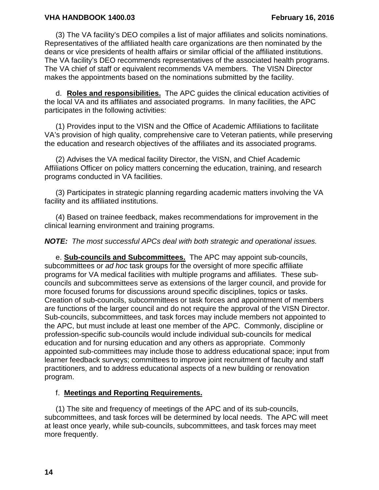#### **VHA HANDBOOK 1400.03 February 16, 2016**

(3) The VA facility's DEO compiles a list of major affiliates and solicits nominations. Representatives of the affiliated health care organizations are then nominated by the deans or vice presidents of health affairs or similar official of the affiliated institutions. The VA facility's DEO recommends representatives of the associated health programs. The VA chief of staff or equivalent recommends VA members. The VISN Director makes the appointments based on the nominations submitted by the facility.

d. **Roles and responsibilities.** The APC guides the clinical education activities of the local VA and its affiliates and associated programs. In many facilities, the APC participates in the following activities:

(1) Provides input to the VISN and the Office of Academic Affiliations to facilitate VA's provision of high quality, comprehensive care to Veteran patients, while preserving the education and research objectives of the affiliates and its associated programs.

(2) Advises the VA medical facility Director, the VISN, and Chief Academic Affiliations Officer on policy matters concerning the education, training, and research programs conducted in VA facilities.

(3) Participates in strategic planning regarding academic matters involving the VA facility and its affiliated institutions.

(4) Based on trainee feedback, makes recommendations for improvement in the clinical learning environment and training programs.

#### *NOTE: The most successful APCs deal with both strategic and operational issues.*

e. **Sub-councils and Subcommittees.** The APC may appoint sub-councils, subcommittees or *ad hoc* task groups for the oversight of more specific affiliate programs for VA medical facilities with multiple programs and affiliates. These subcouncils and subcommittees serve as extensions of the larger council, and provide for more focused forums for discussions around specific disciplines, topics or tasks. Creation of sub-councils, subcommittees or task forces and appointment of members are functions of the larger council and do not require the approval of the VISN Director. Sub-councils, subcommittees, and task forces may include members not appointed to the APC, but must include at least one member of the APC. Commonly, discipline or profession-specific sub-councils would include individual sub-councils for medical education and for nursing education and any others as appropriate. Commonly appointed sub-committees may include those to address educational space; input from learner feedback surveys; committees to improve joint recruitment of faculty and staff practitioners, and to address educational aspects of a new building or renovation program.

#### f. **Meetings and Reporting Requirements.**

(1) The site and frequency of meetings of the APC and of its sub-councils, subcommittees, and task forces will be determined by local needs. The APC will meet at least once yearly, while sub-councils, subcommittees, and task forces may meet more frequently.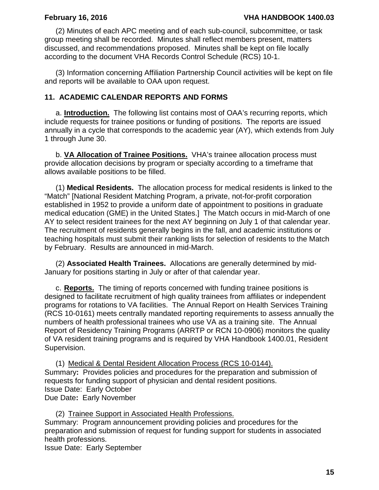(2) Minutes of each APC meeting and of each sub-council, subcommittee, or task group meeting shall be recorded. Minutes shall reflect members present, matters discussed, and recommendations proposed. Minutes shall be kept on file locally according to the document VHA Records Control Schedule (RCS) 10-1.

(3) Information concerning Affiliation Partnership Council activities will be kept on file and reports will be available to OAA upon request.

### <span id="page-16-0"></span>**11. ACADEMIC CALENDAR REPORTS AND FORMS**

a. **Introduction.** The following list contains most of OAA's recurring reports, which include requests for trainee positions or funding of positions. The reports are issued annually in a cycle that corresponds to the academic year (AY), which extends from July 1 through June 30.

b. **VA Allocation of Trainee Positions.** VHA's trainee allocation process must provide allocation decisions by program or specialty according to a timeframe that allows available positions to be filled.

(1) **Medical Residents.** The allocation process for medical residents is linked to the "Match" [National Resident Matching Program, a private, not-for-profit corporation established in 1952 to provide a uniform date of appointment to positions in graduate medical education (GME) in the United States.] The Match occurs in mid-March of one AY to select resident trainees for the next AY beginning on July 1 of that calendar year. The recruitment of residents generally begins in the fall, and academic institutions or teaching hospitals must submit their ranking lists for selection of residents to the Match by February. Results are announced in mid-March.

(2) **Associated Health Trainees.** Allocations are generally determined by mid-January for positions starting in July or after of that calendar year.

c. **Reports.** The timing of reports concerned with funding trainee positions is designed to facilitate recruitment of high quality trainees from affiliates or independent programs for rotations to VA facilities. The Annual Report on Health Services Training (RCS 10-0161) meets centrally mandated reporting requirements to assess annually the numbers of health professional trainees who use VA as a training site. The Annual Report of Residency Training Programs (ARRTP or RCN 10-0906) monitors the quality of VA resident training programs and is required by VHA Handbook 1400.01, Resident Supervision.

(1) Medical & Dental Resident Allocation Process (RCS 10-0144). Summary**:** Provides policies and procedures for the preparation and submission of requests for funding support of physician and dental resident positions. Issue Date:Early October Due Date**:** Early November

(2) Trainee Support in Associated Health Professions. Summary: Program announcement providing policies and procedures for the preparation and submission of request for funding support for students in associated health professions.

Issue Date: Early September